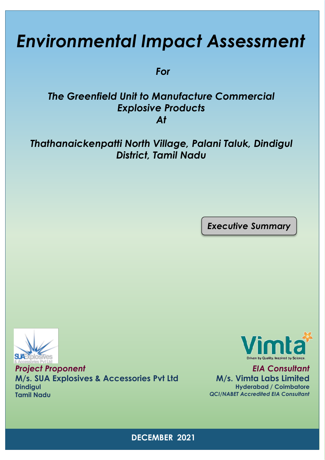# *Environmental Impact Assessment*

*For*

# *The Greenfield Unit to Manufacture Commercial Explosive Products At*

# *Thathanaickenpatti North Village, Palani Taluk, Dindigul District, Tamil Nadu*

*Executive Summary*



*Project Proponent* **M/s. SUA Explosives & Accessories Pvt Ltd Dindigul Tamil Nadu**



*EIA Consultant* **M/s. Vimta Labs Limited Hyderabad / Coimbatore** *QCI/NABET Accredited EIA Consultant*

**DECEMBER 2021**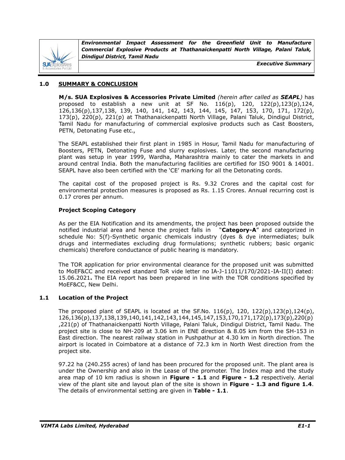

*Executive Summary*

# **1.0 SUMMARY & CONCLUSION**

**M/s. SUA Explosives & Accessories Private Limited** *(herein after called as SEAPL)* has proposed to establish a new unit at SF No. 116(p), 120, 122(p),123(p),124, 126,136(p),137,138, 139, 140, 141, 142, 143, 144, 145, 147, 153, 170, 171, 172(p), 173(p), 220(p), 221(p) at Thathanaickenpatti North Village, Palani Taluk, Dindigul District, Tamil Nadu for manufacturing of commercial explosive products such as Cast Boosters, PETN, Detonating Fuse etc.,

The SEAPL established their first plant in 1985 in Hosur, Tamil Nadu for manufacturing of Boosters, PETN, Detonating Fuse and slurry explosives. Later, the second manufacturing plant was setup in year 1999, Wardha, Maharashtra mainly to cater the markets in and around central India. Both the manufacturing facilities are certified for ISO 9001 & 14001. SEAPL have also been certified with the 'CE' marking for all the Detonating cords.

The capital cost of the proposed project is Rs. 9.32 Crores and the capital cost for environmental protection measures is proposed as Rs. 1.15 Crores. Annual recurring cost is 0.17 crores per annum.

# **Project Scoping Category**

As per the EIA Notification and its amendments, the project has been proposed outside the notified industrial area and hence the project falls in "**Category-A**" and categorized in schedule No: 5(f)-Synthetic organic chemicals industry (dyes & dye intermediates; bulk drugs and intermediates excluding drug formulations; synthetic rubbers; basic organic chemicals) therefore conductance of public hearing is mandatory.

The TOR application for prior environmental clearance for the proposed unit was submitted to MoEF&CC and received standard ToR vide letter no IA-J-11011/170/2021-IA-II(I) dated: 15.06.2021**.** The EIA report has been prepared in line with the TOR conditions specified by MoEF&CC, New Delhi.

# **1.1 Location of the Project**

The proposed plant of SEAPL is located at the SF.No.  $116(p)$ ,  $120$ ,  $122(p)$ ,  $123(p)$ ,  $124(p)$ , 126,136(p),137,138,139,140,141,142,143,144,145,147,153,170,171,172(p),173(p),220(p) ,221(p) of Thathanaickenpatti North Village, Palani Taluk, Dindigul District, Tamil Nadu. The project site is close to NH-209 at 3.06 km in ENE direction & 8.05 km from the SH-153 in East direction. The nearest railway station in Pushpathur at 4.30 km in North direction. The airport is located in Coimbatore at a distance of 72.3 km in North West direction from the project site.

97.22 ha (240.255 acres) of land has been procured for the proposed unit. The plant area is under the Ownership and also in the Lease of the promoter. The Index map and the study area map of 10 km radius is shown in **Figure - 1.1** and **Figure - 1.2** respectively. Aerial view of the plant site and layout plan of the site is shown in **Figure - 1.3 and figure 1.4**. The details of environmental setting are given in **Table - 1.1**.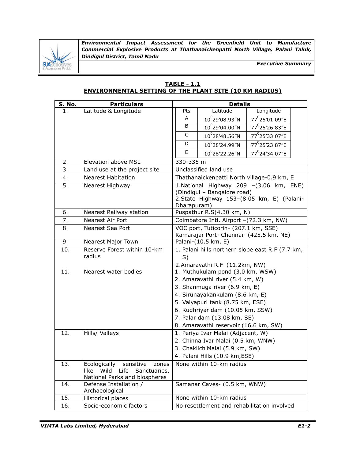

*Executive Summary*

# **TABLE - 1.1 ENVIRONMENTAL SETTING OF THE PLANT SITE (10 KM RADIUS)**

| S. No. | <b>Particulars</b>                                                                                          | <b>Details</b>                                                                  |                                                                   |                                                                                     |  |
|--------|-------------------------------------------------------------------------------------------------------------|---------------------------------------------------------------------------------|-------------------------------------------------------------------|-------------------------------------------------------------------------------------|--|
| 1.     | Latitude & Longitude                                                                                        | Pts                                                                             | Latitude                                                          | Longitude                                                                           |  |
|        |                                                                                                             | A                                                                               | 10 <sup>0</sup> 29'08.93"N                                        | 77 <sup>0</sup> 25'01.09"E                                                          |  |
|        |                                                                                                             | B                                                                               | 10°29'04.00"N                                                     | 77 <sup>0</sup> 25'26.83"E                                                          |  |
|        |                                                                                                             | C                                                                               | $10^{\circ}$ 28'48.56"N                                           | 77 <sup>0</sup> 25'33.07"E                                                          |  |
|        |                                                                                                             | D                                                                               | $10^{0}$ 28'24.99"N                                               | 77 <sup>0</sup> 25'23.87"E                                                          |  |
|        |                                                                                                             | E                                                                               | $10^0$ 28'22.26"N                                                 | 77 <sup>0</sup> 24'34.07"E                                                          |  |
| 2.     | <b>Elevation above MSL</b>                                                                                  | 330-335 m                                                                       |                                                                   |                                                                                     |  |
| 3.     | Land use at the project site                                                                                |                                                                                 | Unclassified land use                                             |                                                                                     |  |
| 4.     | <b>Nearest Habitation</b>                                                                                   |                                                                                 | Thathanaickenpatti North village-0.9 km, E                        |                                                                                     |  |
| 5.     | Nearest Highway                                                                                             | Dharapuram)                                                                     | (Dindigul - Bangalore road)                                       | 1.National Highway 209 -(3.06 km, ENE)<br>2.State Highway 153-(8.05 km, E) (Palani- |  |
| 6.     | Nearest Railway station                                                                                     |                                                                                 | Puspathur R.S(4.30 km, N)                                         |                                                                                     |  |
| 7.     | Nearest Air Port                                                                                            |                                                                                 | Coimbatore Intl. Airport -(72.3 km, NW)                           |                                                                                     |  |
| 8.     | Nearest Sea Port                                                                                            | VOC port, Tuticorin- (207.1 km, SSE)<br>Kamarajar Port- Chennai- (425.5 km, NE) |                                                                   |                                                                                     |  |
| 9.     | <b>Nearest Major Town</b>                                                                                   | Palani-(10.5 km, E)                                                             |                                                                   |                                                                                     |  |
| 10.    | Reserve Forest within 10-km<br>radius                                                                       | 1. Palani hills northern slope east R.F (7.7 km,<br>S)                          |                                                                   |                                                                                     |  |
| 11.    | Nearest water bodies                                                                                        |                                                                                 | 2.Amaravathi R.F-(11.2km, NW)<br>1. Muthukulam pond (3.0 km, WSW) |                                                                                     |  |
|        |                                                                                                             | 2. Amaravathi river (5.4 km, W)                                                 |                                                                   |                                                                                     |  |
|        |                                                                                                             | 3. Shanmuga river (6.9 km, E)                                                   |                                                                   |                                                                                     |  |
|        |                                                                                                             | 4. Sirunayakankulam (8.6 km, E)                                                 |                                                                   |                                                                                     |  |
|        |                                                                                                             | 5. Vaiyapuri tank (8.75 km, ESE)                                                |                                                                   |                                                                                     |  |
|        |                                                                                                             |                                                                                 | 6. Kudhriyar dam (10.05 km, SSW)                                  |                                                                                     |  |
|        |                                                                                                             |                                                                                 | 7. Palar dam (13.08 km, SE)                                       |                                                                                     |  |
|        |                                                                                                             |                                                                                 | 8. Amaravathi reservoir (16.6 km, SW)                             |                                                                                     |  |
| 12.    | Hills/ Valleys                                                                                              |                                                                                 | 1. Periya Ivar Malai (Adjacent, W)                                |                                                                                     |  |
|        |                                                                                                             |                                                                                 | 2. Chinna Ivar Malai (0.5 km, WNW)                                |                                                                                     |  |
|        |                                                                                                             | 3. ChaklichiMalai (5.9 km, SW)                                                  |                                                                   |                                                                                     |  |
|        |                                                                                                             |                                                                                 | 4. Palani Hills (10.9 km, ESE)                                    |                                                                                     |  |
| 13.    | Ecologically<br>sensitive<br>zones<br>Wild<br>Life<br>Sanctuaries,<br>like<br>National Parks and biospheres |                                                                                 | None within 10-km radius                                          |                                                                                     |  |
| 14.    | Defense Installation /<br>Archaeological                                                                    | Samanar Caves- (0.5 km, WNW)                                                    |                                                                   |                                                                                     |  |
| 15.    | Historical places                                                                                           | None within 10-km radius                                                        |                                                                   |                                                                                     |  |
| 16.    | Socio-economic factors                                                                                      |                                                                                 | No resettlement and rehabilitation involved                       |                                                                                     |  |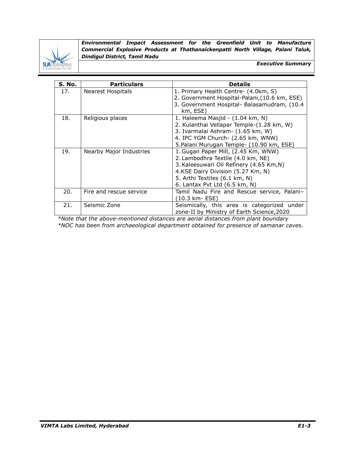

*Executive Summary*

| <b>S. No.</b> | <b>Particulars</b>       | <b>Details</b>                                |
|---------------|--------------------------|-----------------------------------------------|
| 17.           | <b>Nearest Hospitals</b> | 1. Primary Health Centre- (4.0km, S)          |
|               |                          | 2. Government Hospital-Palani, (10.6 km, ESE) |
|               |                          | 3. Government Hospital- Balasamudram, (10.4   |
|               |                          | km, ESE)                                      |
| 18.           | Religious places         | 1. Haleema Masjid - (1.04 km, N)              |
|               |                          | 2. Kulanthai Vellapar Temple-(1.28 km, W)     |
|               |                          | 3. Ivarmalai Ashram- (1.65 km, W)             |
|               |                          | 4. IPC YGM Church- (2.65 km, WNW)             |
|               |                          | 5. Palani Murugan Temple- (10.90 km, ESE)     |
| 19.           | Nearby Major Industries  | 1. Gugan Paper Mill, (2.45 Km, WNW)           |
|               |                          | 2. Lambodhra Textile (4.0 km, NE)             |
|               |                          | 3. Kaleesuwari Oil Refinery (4.65 Km, N)      |
|               |                          | 4.KSE Dairy Division (5.27 Km, N)             |
|               |                          | 5. Arthi Textiles (6.1 km, N)                 |
|               |                          | 6. Lantax Pvt Ltd (6.5 km, N)                 |
| 20.           | Fire and rescue service  | Tamil Nadu Fire and Rescue service, Palani-   |
|               |                          | (10.3 km- ESE)                                |
| 21.           | Seismic Zone             | Seismically, this area is categorized under   |
|               |                          | zone-II by Ministry of Earth Science, 2020    |

*\*Note that the above-mentioned distances are aerial distances from plant boundary \*NOC has been from archaeological department obtained for presence of samanar caves.*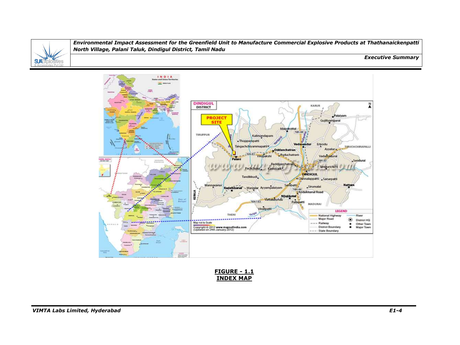

#### *Executive Summary*



**FIGURE - 1.1 INDEX MAP**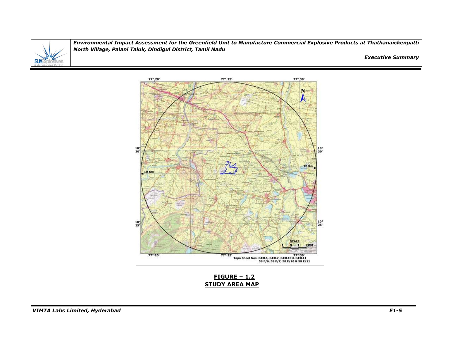

*Executive Summary*



**FIGURE – 1.2 STUDY AREA MAP**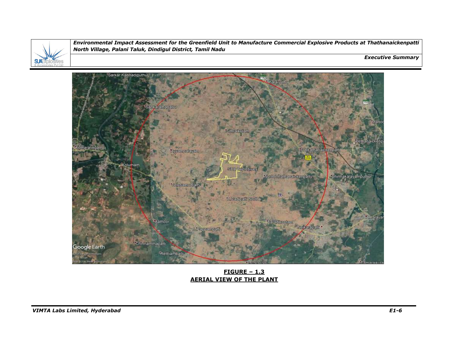

*Executive Summary*



**FIGURE – 1.3 AERIAL VIEW OF THE PLANT**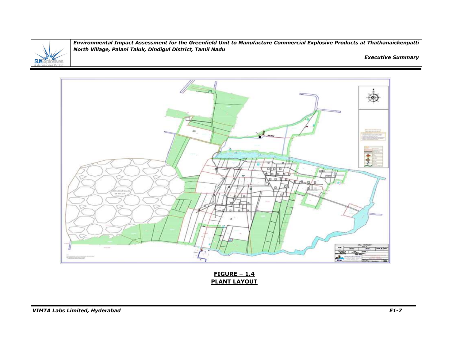

*Executive Summary*



**FIGURE – 1.4 PLANT LAYOUT**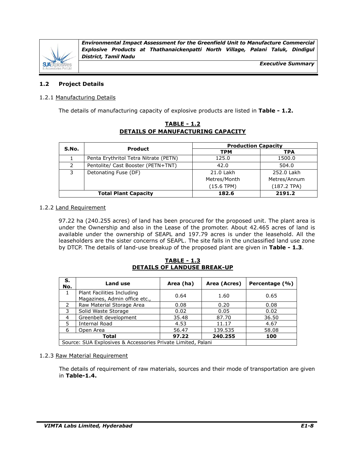

*Executive Summary*

# **1.2 Project Details**

# 1.2.1 Manufacturing Details

The details of manufacturing capacity of explosive products are listed in **Table - 1.2.**

|               |                                       | <b>Production Capacity</b> |               |
|---------------|---------------------------------------|----------------------------|---------------|
| S.No.         | <b>Product</b>                        | <b>TPM</b>                 | <b>TPA</b>    |
|               | Penta Erythritol Tetra Nitrate (PETN) | 125.0                      | 1500.0        |
| $\mathcal{P}$ | Pentolite/ Cast Booster (PETN+TNT)    | 42.0                       | 504.0         |
| 3             | Detonating Fuse (DF)                  | 21.0 Lakh                  | 252.0 Lakh    |
|               |                                       | Metres/Month               | Metres/Annum  |
|               |                                       | (15.6 TPM)                 | $(187.2$ TPA) |
|               | <b>Total Plant Capacity</b>           | 182.6                      | 2191.2        |

# **TABLE - 1.2 DETAILS OF MANUFACTURING CAPACITY**

# 1.2.2 Land Requirement

97.22 ha (240.255 acres) of land has been procured for the proposed unit. The plant area is under the Ownership and also in the Lease of the promoter. About 42.465 acres of land is available under the ownership of SEAPL and 197.79 acres is under the leasehold. All the leaseholders are the sister concerns of SEAPL. The site falls in the unclassified land use zone by DTCP. The details of land-use breakup of the proposed plant are given in **Table - 1.3**.

# **TABLE - 1.3 DETAILS OF LANDUSE BREAK-UP**

| S.<br>No.                                                    | <b>Land use</b>                                             | Area (ha) | Area (Acres) | Percentage (%) |
|--------------------------------------------------------------|-------------------------------------------------------------|-----------|--------------|----------------|
| 1                                                            | Plant Facilities Including<br>Magazines, Admin office etc., | 0.64      | 1.60         | 0.65           |
| 2                                                            | Raw Material Storage Area                                   | 0.08      | 0.20         | 0.08           |
| 3                                                            | Solid Waste Storage                                         | 0.02      | 0.05         | 0.02           |
| 4                                                            | Greenbelt development                                       | 35.48     | 87.70        | 36.50          |
| 5.                                                           | Internal Road                                               | 4.53      | 11.17        | 4.67           |
| 6                                                            | Open Area                                                   | 56.47     | 139.535      | 58.08          |
| 97.22<br>240.255<br>Total                                    |                                                             |           |              | 100            |
| Source: SUA Explosives & Accessories Private Limited, Palani |                                                             |           |              |                |

# 1.2.3 Raw Material Requirement

The details of requirement of raw materials, sources and their mode of transportation are given in **Table-1.4.**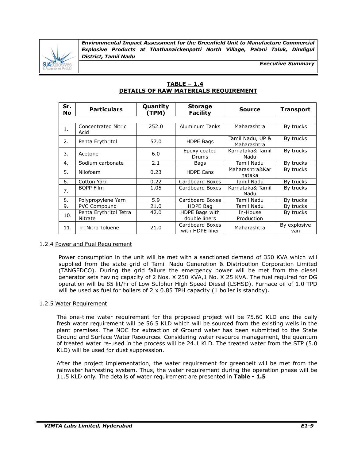

*Executive Summary*

| $TABLE - 1.4$                        |  |
|--------------------------------------|--|
| DETAILS OF RAW MATERIALS REQUIREMENT |  |

| Sr.<br>No | <b>Particulars</b>                 | Quantity<br>(TPM) | <b>Storage</b><br><b>Facility</b>  | <b>Source</b>                   | <b>Transport</b>    |
|-----------|------------------------------------|-------------------|------------------------------------|---------------------------------|---------------------|
|           |                                    |                   |                                    |                                 |                     |
| 1.        | <b>Concentrated Nitric</b><br>Acid | 252.0             | Aluminum Tanks                     | Maharashtra                     | By trucks           |
| 2.        | Penta Erythritol                   | 57.0              | <b>HDPE Bags</b>                   | Tamil Nadu, UP &<br>Maharashtra | By trucks           |
| 3.        | Acetone                            | 6.0               | Epoxy coated<br><b>Drums</b>       | Karnataka& Tamil<br>Nadu        | By trucks           |
| 4.        | Sodium carbonate                   | 2.1               | Bags                               | Tamil Nadu                      | By trucks           |
| 5.        | Nilofoam                           | 0.23              | <b>HDPE Cans</b>                   | Maharashtra&Kar<br>nataka       | By trucks           |
| 6.        | Cotton Yarn                        | 0.22              | Cardboard Boxes                    | Tamil Nadu                      | By trucks           |
| 7.        | <b>BOPP Film</b>                   | 1.05              | Cardboard Boxes                    | Karnataka& Tamil<br>Nadu        | By trucks           |
| 8.        | Polypropylene Yarn                 | 5.9               | Cardboard Boxes                    | Tamil Nadu                      | By trucks           |
| 9.        | PVC Compound                       | 21.0              | HDPE Bag                           | Tamil Nadu                      | By trucks           |
| 10.       | Penta Erythritol Tetra<br>Nitrate  | 42.0              | HDPE Bags with<br>double liners    | In-House<br>Production          | By trucks           |
| 11.       | Tri Nitro Toluene                  | 21.0              | Cardboard Boxes<br>with HDPE liner | Maharashtra                     | By explosive<br>van |

# 1.2.4 Power and Fuel Requirement

Power consumption in the unit will be met with a sanctioned demand of 350 KVA which will supplied from the state grid of Tamil Nadu Generation & Distribution Corporation Limited (TANGEDCO). During the grid failure the emergency power will be met from the diesel generator sets having capacity of 2 Nos. X 250 KVA,1 No. X 25 KVA. The fuel required for DG operation will be 85 lit/hr of Low Sulphur High Speed Diesel (LSHSD). Furnace oil of 1.0 TPD will be used as fuel for boilers of  $2 \times 0.85$  TPH capacity (1 boiler is standby).

#### 1.2.5 Water Requirement

The one-time water requirement for the proposed project will be 75.60 KLD and the daily fresh water requirement will be 56.5 KLD which will be sourced from the existing wells in the plant premises. The NOC for extraction of Ground water has been submitted to the State Ground and Surface Water Resources. Considering water resource management, the quantum of treated water re-used in the process will be 24.1 KLD. The treated water from the STP (5.0 KLD) will be used for dust suppression.

After the project implementation, the water requirement for greenbelt will be met from the rainwater harvesting system. Thus, the water requirement during the operation phase will be 11.5 KLD only. The details of water requirement are presented in **Table - 1.5**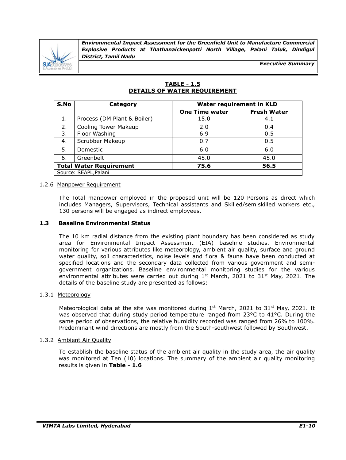

*Executive Summary*

| S.No | Category                       | <b>Water requirement in KLD</b> |                    |  |  |
|------|--------------------------------|---------------------------------|--------------------|--|--|
|      |                                | <b>One Time water</b>           | <b>Fresh Water</b> |  |  |
| 1.   | Process (DM Plant & Boiler)    | 15.0                            | 4.1                |  |  |
| 2.   | <b>Cooling Tower Makeup</b>    | 2.0                             | 0.4                |  |  |
| 3.   | Floor Washing                  | 6.9                             | 0.5                |  |  |
| 4.   | Scrubber Makeup                | 0.7                             | 0.5                |  |  |
| 5.   | Domestic                       | 6.0                             | 6.0                |  |  |
| 6.   | Greenbelt                      | 45.0                            | 45.0               |  |  |
|      | <b>Total Water Requirement</b> | 75.6                            | 56.5               |  |  |
|      | Source: SEAPL, Palani          |                                 |                    |  |  |

# **TABLE - 1.5 DETAILS OF WATER REQUIREMENT**

#### 1.2.6 Manpower Requirement

The Total manpower employed in the proposed unit will be 120 Persons as direct which includes Managers, Supervisors, Technical assistants and Skilled/semiskilled workers etc., 130 persons will be engaged as indirect employees.

#### **1.3 Baseline Environmental Status**

The 10 km radial distance from the existing plant boundary has been considered as study area for Environmental Impact Assessment (EIA) baseline studies. Environmental monitoring for various attributes like meteorology, ambient air quality, surface and ground water quality, soil characteristics, noise levels and flora & fauna have been conducted at specified locations and the secondary data collected from various government and semigovernment organizations. Baseline environmental monitoring studies for the various environmental attributes were carried out during  $1^{st}$  March, 2021 to 31 $^{st}$  May, 2021. The details of the baseline study are presented as follows:

#### 1.3.1 Meteorology

Meteorological data at the site was monitored during  $1^{st}$  March, 2021 to 31 $^{st}$  May, 2021. It was observed that during study period temperature ranged from 23°C to 41°C. During the same period of observations, the relative humidity recorded was ranged from 26% to 100%. Predominant wind directions are mostly from the South-southwest followed by Southwest.

#### 1.3.2 Ambient Air Quality

To establish the baseline status of the ambient air quality in the study area, the air quality was monitored at Ten (10) locations. The summary of the ambient air quality monitoring results is given in **Table - 1.6**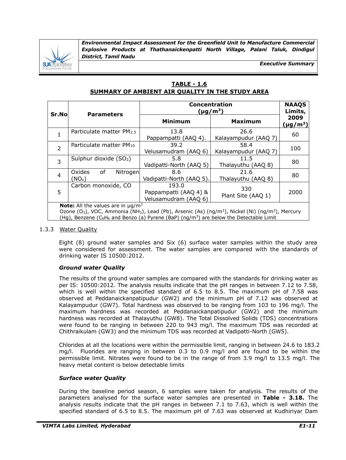

*Executive Summary*

# **TABLE - 1.6 SUMMARY OF AMBIENT AIR QUALITY IN THE STUDY AREA**

| Sr.No          | <b>Parameters</b>                                                                                                                                                                                                                                                                                                                             | <b>Concentration</b><br>$(\mu$ g/m <sup>3</sup> )      | <b>NAAQS</b><br>Limits,      |                          |  |
|----------------|-----------------------------------------------------------------------------------------------------------------------------------------------------------------------------------------------------------------------------------------------------------------------------------------------------------------------------------------------|--------------------------------------------------------|------------------------------|--------------------------|--|
|                |                                                                                                                                                                                                                                                                                                                                               | <b>Minimum</b>                                         | <b>Maximum</b>               | 2009<br>$(\mu$ g/m $^3)$ |  |
| 1              | Particulate matter PM2.5                                                                                                                                                                                                                                                                                                                      | 13.8<br>Pappampatti (AAQ 4).                           | 26.6<br>Kalayampudur (AAQ 7) | 60                       |  |
| $\overline{2}$ | Particulate matter PM10                                                                                                                                                                                                                                                                                                                       | 39.2<br>Velusamudram (AAQ 6)                           | 58.4<br>Kalayampudur (AAQ 7) | 100                      |  |
| 3              | Sulphur dioxide (SO <sub>2</sub> )                                                                                                                                                                                                                                                                                                            | 5.8<br>Vadipatti-North (AAQ 5)                         | 11.5<br>Thalayuthu (AAQ 8)   | 80                       |  |
| $\overline{4}$ | of<br>Oxides<br>Nitrogen<br>(NO <sub>x</sub> )                                                                                                                                                                                                                                                                                                | 8.6<br>Vadipatti-North (AAQ 5).                        | 21.6<br>Thalayuthu (AAQ 8)   | 80                       |  |
| 5              | Carbon monoxide, CO                                                                                                                                                                                                                                                                                                                           | 193.0<br>Pappampatti (AAQ 4) &<br>Velusamudram (AAQ 6) | 330<br>Plant Site (AAQ 1)    | 2000                     |  |
|                | <b>Note:</b> All the values are in $\mu$ g/m <sup>3</sup><br>Ozone (O <sub>3</sub> ), VOC, Ammonia (NH <sub>3</sub> ), Lead (Pb), Arsenic (As) (ng/m <sup>3</sup> ), Nickel (Ni) (ng/m <sup>3</sup> ), Mercury<br>(Hg), Benzene (C <sub>6</sub> H <sub>6</sub> and Benzo (a) Pyrene (BaP) (ng/m <sup>3</sup> ) are below the Detectable Limit |                                                        |                              |                          |  |

## 1.3.3 Water Quality

Eight (8) ground water samples and Six (6) surface water samples within the study area were considered for assessment. The water samples are compared with the standards of drinking water IS 10500:2012.

# *Ground water Quality*

The results of the ground water samples are compared with the standards for drinking water as per IS: 10500:2012. The analysis results indicate that the pH ranges in between 7.12 to 7.58, which is well within the specified standard of 6.5 to 8.5. The maximum pH of 7.58 was observed at Peddanaickanpatipudur (GW2) and the minimum pH of 7.12 was observed at Kalayampudur (GW7). Total hardness was observed to be ranging from 103 to 196 mg/l. The maximum hardness was recorded at Peddanaickanpatipudur (GW2) and the minimum hardness was recorded at Thalayuthu (GW8). The Total Dissolved Solids (TDS) concentrations were found to be ranging in between 220 to 943 mg/l. The maximum TDS was recorded at Chithraikulam (GW3) and the minimum TDS was recorded at Vadipatti-North (GW5).

Chlorides at all the locations were within the permissible limit, ranging in between 24.6 to 183.2 mg/l. Fluorides are ranging in between 0.3 to 0.9 mg/l and are found to be within the permissible limit. Nitrates were found to be in the range of from 3.9 mg/l to 13.5 mg/l. The heavy metal content is below detectable limits

# *Surface water Quality*

During the baseline period season, 6 samples were taken for analysis. The results of the parameters analysed for the surface water samples are presented in **Table - 3.18.** The analysis results indicate that the pH ranges in between 7.1 to 7.63, which is well within the specified standard of 6.5 to 8.5. The maximum pH of 7.63 was observed at Kudhiriyar Dam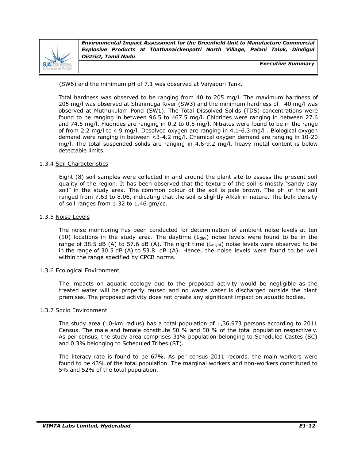

*Executive Summary*

(SW6) and the minimum pH of 7.1 was observed at Vaiyapuri Tank.

Total hardness was observed to be ranging from 40 to 205 mg/l. The maximum hardness of 205 mg/l was observed at Shanmuga River (SW3) and the minimum hardness of 40 mg/l was observed at Muthukulam Pond (SW1). The Total Dissolved Solids (TDS) concentrations were found to be ranging in between 96.5 to 467.5 mg/l. Chlorides were ranging in between 27.6 and 74.5 mg/l. Fluorides are ranging in 0.2 to 0.5 mg/l. Nitrates were found to be in the range of from 2.2 mg/l to 4.9 mg/l. Desolved oxygen are ranging in 4.1-6.3 mg/l . Biological oxygen demand were ranging in between <3-4.2 mg/l. Chemical oxygen demand are ranging in 10-20 mg/l. The total suspended solids are ranging in 4.6-9.2 mg/l. heavy metal content is below detectable limits.

#### 1.3.4 Soil Characteristics

Eight (8) soil samples were collected in and around the plant site to assess the present soil quality of the region. It has been observed that the texture of the soil is mostly "sandy clay soil" in the study area. The common colour of the soil is pale brown. The pH of the soil ranged from 7.63 to 8.06, indicating that the soil is slightly Alkali in nature. The bulk density of soil ranges from 1.32 to 1.46 gm/cc.

#### 1.3.5 Noise Levels

The noise monitoring has been conducted for determination of ambient noise levels at ten (10) locations in the study area. The daytime  $(L_{\text{day}})$  noise levels were found to be in the range of 38.5 dB (A) to 57.6 dB (A). The night time  $(L_{night})$  noise levels were observed to be in the range of 30.5 dB (A) to 53.8 dB (A). Hence, the noise levels were found to be well within the range specified by CPCB norms.

#### 1.3.6 Ecological Environment

The impacts on aquatic ecology due to the proposed activity would be negligible as the treated water will be properly reused and no waste water is discharged outside the plant premises. The proposed activity does not create any significant impact on aquatic bodies.

#### 1.3.7 Socio Environment

The study area (10-km radius) has a total population of 1,36,973 persons according to 2011 Census. The male and female constitute 50 % and 50 % of the total population respectively. As per census, the study area comprises 31% population belonging to Scheduled Castes (SC) and 0.3% belonging to Scheduled Tribes (ST).

The literacy rate is found to be 67%. As per census 2011 records, the main workers were found to be 43% of the total population. The marginal workers and non-workers constituted to 5% and 52% of the total population.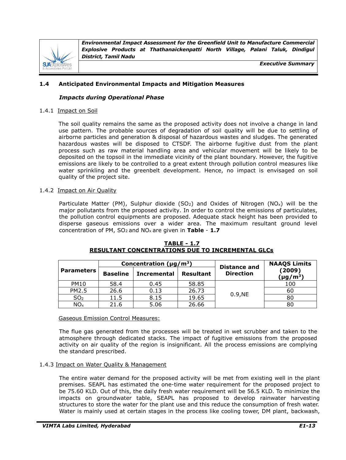

*Executive Summary*

# **1.4 Anticipated Environmental Impacts and Mitigation Measures**

## *Impacts during Operational Phase*

#### 1.4.1 Impact on Soil

The soil quality remains the same as the proposed activity does not involve a change in land use pattern. The probable sources of degradation of soil quality will be due to settling of airborne particles and generation & disposal of hazardous wastes and sludges. The generated hazardous wastes will be disposed to CTSDF. The airborne fugitive dust from the plant process such as raw material handling area and vehicular movement will be likely to be deposited on the topsoil in the immediate vicinity of the plant boundary. However, the fugitive emissions are likely to be controlled to a great extent through pollution control measures like water sprinkling and the greenbelt development. Hence, no impact is envisaged on soil quality of the project site.

#### 1.4.2 Impact on Air Quality

Particulate Matter (PM), Sulphur dioxide (SO<sub>2</sub>) and Oxides of Nitrogen (NO<sub>x</sub>) will be the major pollutants from the proposed activity. In order to control the emissions of particulates, the pollution control equipments are proposed. Adequate stack height has been provided to disperse gaseous emissions over a wider area. The maximum resultant ground level concentration of PM, SO2 and NOx are given in **Table** - **1.7**

|                   | Concentration ( $\mu$ g/m <sup>3</sup> ) |                    |                  | <b>Distance and</b> | <b>NAAQS Limits</b>                 |
|-------------------|------------------------------------------|--------------------|------------------|---------------------|-------------------------------------|
| <b>Parameters</b> | <b>Baseline</b>                          | <b>Incremental</b> | <b>Resultant</b> | <b>Direction</b>    | (2009)<br>$(\mu$ g/m <sup>3</sup> ) |
| <b>PM10</b>       | 58.4                                     | 0.45               | 58.85            |                     | 100                                 |
| PM2.5             | 26.6                                     | 0.13               | 26.73            |                     | 60                                  |
| SO <sub>2</sub>   | 11.5                                     | 8.15               | 19.65            | 0.9,NE              | 80                                  |
| NO <sub>x</sub>   | 21.6                                     | 5.06               | 26.66            |                     | 80                                  |

**TABLE - 1.7 RESULTANT CONCENTRATIONS DUE TO INCREMENTAL GLCs**

#### Gaseous Emission Control Measures:

The flue gas generated from the processes will be treated in wet scrubber and taken to the atmosphere through dedicated stacks. The impact of fugitive emissions from the proposed activity on air quality of the region is insignificant. All the process emissions are complying the standard prescribed.

#### 1.4.3 Impact on Water Quality & Management

The entire water demand for the proposed activity will be met from existing well in the plant premises. SEAPL has estimated the one-time water requirement for the proposed project to be 75.60 KLD. Out of this, the daily fresh water requirement will be 56.5 KLD. To minimize the impacts on groundwater table, SEAPL has proposed to develop rainwater harvesting structures to store the water for the plant use and this reduce the consumption of fresh water. Water is mainly used at certain stages in the process like cooling tower, DM plant, backwash,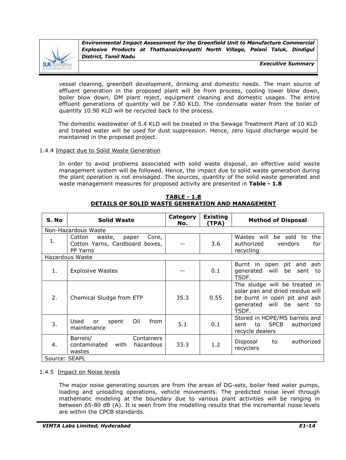

*Executive Summary*

vessel cleaning, greenbelt development, drinking and domestic needs. The main source of effluent generation in the proposed plant will be from process, cooling tower blow down, boiler blow down, DM plant reject, equipment cleaning and domestic usages. The entire effluent generations of quantity will be 7.80 KLD. The condensate water from the boiler of quantity 10.90 KLD will be recycled back to the process.

The domestic wastewater of 5.4 KLD will be treated in the Sewage Treatment Plant of 10 KLD and treated water will be used for dust suppression. Hence, zero liquid discharge would be maintained in the proposed project.

#### 1.4.4 Impact due to Solid Waste Generation

In order to avoid problems associated with solid waste disposal, an effective solid waste management system will be followed. Hence, the impact due to solid waste generation during the plant operation is not envisaged. The sources, quantity of the solid waste generated and waste management measures for proposed activity are presented in **Table - 1.8**

| S. No         | <b>Solid Waste</b>                                                               | <b>Category</b><br>No. | <b>Existing</b><br>(TPA) | <b>Method of Disposal</b>                                                                                                                  |
|---------------|----------------------------------------------------------------------------------|------------------------|--------------------------|--------------------------------------------------------------------------------------------------------------------------------------------|
|               | Non-Hazardous Waste                                                              |                        |                          |                                                                                                                                            |
| 1.            | Cotton<br>Core,<br>waste,<br>paper<br>Cotton Yarns, Cardboard boxes,<br>PP Yarns |                        | 3.6                      | Wastes will<br>be sold to<br>the<br>authorized<br>for<br>vendors<br>recycling                                                              |
|               | Hazardous Waste                                                                  |                        |                          |                                                                                                                                            |
| 1.            | <b>Explosive Wastes</b>                                                          |                        | 0.1                      | Burnt in open<br>pit<br>and<br>ash<br>will<br>generated<br>be<br>sent<br>to<br>TSDF.                                                       |
| 2.            | Chemical Sludge from ETP                                                         | 35.3                   | 0.55                     | The sludge will be treated in<br>solar pan and dried residue will<br>be burnt in open pit and ash<br>generated will<br>be sent to<br>TSDF. |
| 3.            | Used<br>Oil<br>from<br>spent<br>or<br>maintenance                                | 5.1                    | 0.1                      | Stored in HDPE/MS barrels and<br><b>SPCB</b><br>authorized<br>to<br>sent<br>recycle dealers                                                |
| 4.            | Containers<br>Barrels/<br>contaminated<br>with<br>hazardous<br>wastes            | 33.3                   | 1.2                      | authorized<br>Disposal<br>to<br>recyclers                                                                                                  |
| Source: SEAPL |                                                                                  |                        |                          |                                                                                                                                            |

**TABLE - 1.8 DETAILS OF SOLID WASTE GENERATION AND MANAGEMENT**

#### 1.4.5 Impact on Noise levels

The major noise generating sources are from the areas of DG-sets, boiler feed water pumps, loading and unloading operations, vehicle movements. The predicted noise level through mathematic modeling at the boundary due to various plant activities will be ranging in between 65-80 dB (A). It is seen from the modelling results that the incremental noise levels are within the CPCB standards.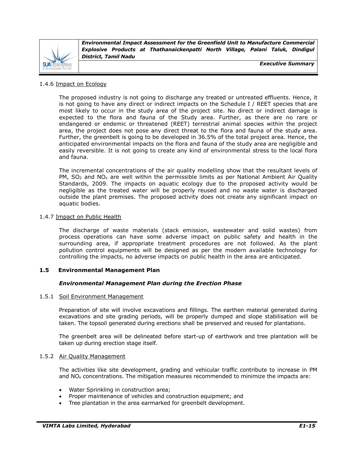

*Executive Summary*

#### 1.4.6 Impact on Ecology

The proposed industry is not going to discharge any treated or untreated effluents. Hence, it is not going to have any direct or indirect impacts on the Schedule I / REET species that are most likely to occur in the study area of the project site. No direct or indirect damage is expected to the flora and fauna of the Study area. Further, as there are no rare or endangered or endemic or threatened (REET) terrestrial animal species within the project area, the project does not pose any direct threat to the flora and fauna of the study area. Further, the greenbelt is going to be developed in 36.5% of the total project area. Hence, the anticipated environmental impacts on the flora and fauna of the study area are negligible and easily reversible. It is not going to create any kind of environmental stress to the local flora and fauna.

The incremental concentrations of the air quality modelling show that the resultant levels of PM,  $SO<sub>2</sub>$  and NO<sub>x</sub> are well within the permissible limits as per National Ambient Air Quality Standards, 2009. The impacts on aquatic ecology due to the proposed activity would be negligible as the treated water will be properly reused and no waste water is discharged outside the plant premises. The proposed activity does not create any significant impact on aquatic bodies.

#### 1.4.7 Impact on Public Health

The discharge of waste materials (stack emission, wastewater and solid wastes) from process operations can have some adverse impact on public safety and health in the surrounding area, if appropriate treatment procedures are not followed. As the plant pollution control equipments will be designed as per the modern available technology for controlling the impacts, no adverse impacts on public health in the area are anticipated.

# **1.5 Environmental Management Plan**

#### *Environmental Management Plan during the Erection Phase*

#### 1.5.1 Soil Environment Management

Preparation of site will involve excavations and fillings. The earthen material generated during excavations and site grading periods, will be properly dumped and slope stabilisation will be taken. The topsoil generated during erections shall be preserved and reused for plantations.

The greenbelt area will be delineated before start-up of earthwork and tree plantation will be taken up during erection stage itself.

#### 1.5.2 Air Quality Management

The activities like site development, grading and vehicular traffic contribute to increase in PM and  $NO<sub>x</sub>$  concentrations. The mitigation measures recommended to minimize the impacts are:

- Water Sprinkling in construction area;
- Proper maintenance of vehicles and construction equipment; and
- Tree plantation in the area earmarked for greenbelt development.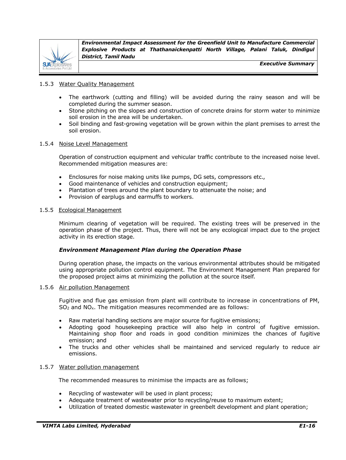

*Executive Summary*

#### 1.5.3 Water Quality Management

- The earthwork (cutting and filling) will be avoided during the rainy season and will be completed during the summer season.
- Stone pitching on the slopes and construction of concrete drains for storm water to minimize soil erosion in the area will be undertaken.
- Soil binding and fast-growing vegetation will be grown within the plant premises to arrest the soil erosion.

# 1.5.4 Noise Level Management

Operation of construction equipment and vehicular traffic contribute to the increased noise level. Recommended mitigation measures are:

- Enclosures for noise making units like pumps, DG sets, compressors etc.,
- Good maintenance of vehicles and construction equipment;
- Plantation of trees around the plant boundary to attenuate the noise; and
- Provision of earplugs and earmuffs to workers.

#### 1.5.5 Ecological Management

Minimum clearing of vegetation will be required. The existing trees will be preserved in the operation phase of the project. Thus, there will not be any ecological impact due to the project activity in its erection stage.

#### *Environment Management Plan during the Operation Phase*

During operation phase, the impacts on the various environmental attributes should be mitigated using appropriate pollution control equipment. The Environment Management Plan prepared for the proposed project aims at minimizing the pollution at the source itself.

#### 1.5.6 Air pollution Management

Fugitive and flue gas emission from plant will contribute to increase in concentrations of PM, SO<sup>2</sup> and NOx. The mitigation measures recommended are as follows:

- Raw material handling sections are major source for fugitive emissions;
- Adopting good housekeeping practice will also help in control of fugitive emission. Maintaining shop floor and roads in good condition minimizes the chances of fugitive emission; and
- The trucks and other vehicles shall be maintained and serviced regularly to reduce air emissions.

#### 1.5.7 Water pollution management

The recommended measures to minimise the impacts are as follows;

- Recycling of wastewater will be used in plant process;
- Adequate treatment of wastewater prior to recycling/reuse to maximum extent;
- Utilization of treated domestic wastewater in greenbelt development and plant operation;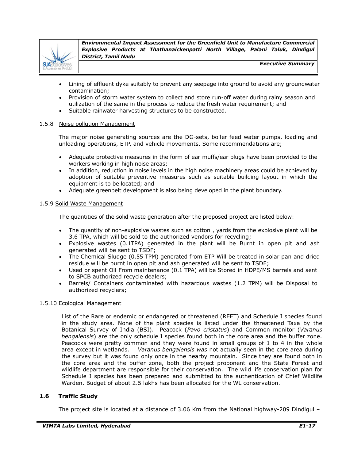

*Executive Summary*

- Lining of effluent dyke suitably to prevent any seepage into ground to avoid any groundwater contamination;
- Provision of storm water system to collect and store run-off water during rainy season and utilization of the same in the process to reduce the fresh water requirement; and
- Suitable rainwater harvesting structures to be constructed.

#### 1.5.8 Noise pollution Management

The major noise generating sources are the DG-sets, boiler feed water pumps, loading and unloading operations, ETP, and vehicle movements. Some recommendations are;

- Adequate protective measures in the form of ear muffs/ear plugs have been provided to the workers working in high noise areas;
- In addition, reduction in noise levels in the high noise machinery areas could be achieved by adoption of suitable preventive measures such as suitable building layout in which the equipment is to be located; and
- Adequate greenbelt development is also being developed in the plant boundary.

#### 1.5.9 Solid Waste Management

The quantities of the solid waste generation after the proposed project are listed below:

- The quantity of non-explosive wastes such as cotton , yards from the explosive plant will be 3.6 TPA, which will be sold to the authorized vendors for recycling;
- Explosive wastes (0.1TPA) generated in the plant will be Burnt in open pit and ash generated will be sent to TSDF;
- The Chemical Sludge (0.55 TPM) generated from ETP Will be treated in solar pan and dried residue will be burnt in open pit and ash generated will be sent to TSDF;
- Used or spent Oil From maintenance (0.1 TPA) will be Stored in HDPE/MS barrels and sent to SPCB authorized recycle dealers;
- Barrels/ Containers contaminated with hazardous wastes (1.2 TPM) will be Disposal to authorized recyclers;

#### 1.5.10 Ecological Management

List of the Rare or endemic or endangered or threatened (REET) and Schedule I species found in the study area. None of the plant species is listed under the threatened Taxa by the Botanical Survey of India (BSI). Peacock (*Pavo cristatus*) and Common monitor (*Varanus bengalensis*) are the only schedule I species found both in the core area and the buffer zone. Peacocks were pretty common and they were found in small groups of 1 to 4 in the whole area except in wetlands. *Varanus bengalensis was* not actually seen in the core area during the survey but it was found only once in the nearby mountain. Since they are found both in the core area and the buffer zone, both the project proponent and the State Forest and wildlife department are responsible for their conservation. The wild life conservation plan for Schedule I species has been prepared and submitted to the authentication of Chief Wildlife Warden. Budget of about 2.5 lakhs has been allocated for the WL conservation.

# **1.6 Traffic Study**

The project site is located at a distance of 3.06 Km from the National highway-209 Dindigul –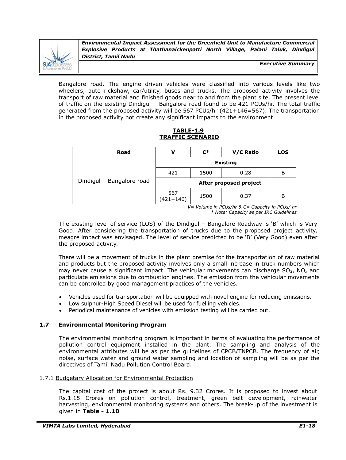

*Executive Summary*

Bangalore road. The engine driven vehicles were classified into various levels like two wheelers, auto rickshaw, car/utility, buses and trucks. The proposed activity involves the transport of raw material and finished goods near to and from the plant site. The present level of traffic on the existing Dindigul – Bangalore road found to be 421 PCUs/hr. The total traffic generated from the proposed activity will be 567 PCUs/hr (421+146=567). The transportation in the proposed activity not create any significant impacts to the environment.

**TABLE-1.9 TRAFFIC SCENARIO**

| Road                      | v                      | $\mathsf{C}^*$ | V/C Ratio | <b>LOS</b> |  |
|---------------------------|------------------------|----------------|-----------|------------|--|
|                           | <b>Existing</b>        |                |           |            |  |
|                           | 421                    | 1500           | 0.28      | в          |  |
| Dindigul - Bangalore road | After proposed project |                |           |            |  |
|                           | 567<br>$(421+146)$     | 1500           | 0.37      | В          |  |

 *V= Volume in PCUs/hr & C= Capacity in PCUs/ hr* *\* Note: Capacity as per IRC Guidelines*

The existing level of service (LOS) of the Dindigul – Bangalore Roadway is 'B' which is Very Good. After considering the transportation of trucks due to the proposed project activity, meagre impact was envisaged. The level of service predicted to be 'B' (Very Good) even after the proposed activity.

There will be a movement of trucks in the plant premise for the transportation of raw material and products but the proposed activity involves only a small increase in truck numbers which may never cause a significant impact. The vehicular movements can discharge  $SO_2$ , NO<sub>x</sub> and particulate emissions due to combustion engines. The emission from the vehicular movements can be controlled by good management practices of the vehicles.

- Vehicles used for transportation will be equipped with novel engine for reducing emissions.
- Low sulphur-High Speed Diesel will be used for fuelling vehicles.
- Periodical maintenance of vehicles with emission testing will be carried out.

# **1.7 Environmental Monitoring Program**

The environmental monitoring program is important in terms of evaluating the performance of pollution control equipment installed in the plant. The sampling and analysis of the environmental attributes will be as per the guidelines of CPCB/TNPCB. The frequency of air, noise, surface water and ground water sampling and location of sampling will be as per the directives of Tamil Nadu Pollution Control Board.

# 1.7.1 Budgetary Allocation for Environmental Protection

The capital cost of the project is about Rs. 9.32 Crores. It is proposed to invest about Rs.1.15 Crores on pollution control, treatment, green belt development, rainwater harvesting, environmental monitoring systems and others. The break-up of the investment is given in **Table - 1.10**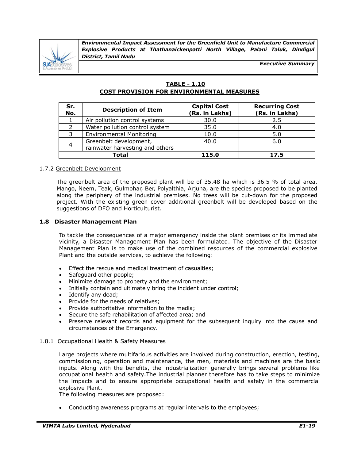

*Executive Summary*

# **TABLE - 1.10 COST PROVISION FOR ENVIRONMENTAL MEASURES**

| Sr.<br>No.   | <b>Description of Item</b>                                | <b>Capital Cost</b><br>(Rs. in Lakhs) | <b>Recurring Cost</b><br>(Rs. in Lakhs) |
|--------------|-----------------------------------------------------------|---------------------------------------|-----------------------------------------|
|              | Air pollution control systems                             | 30.0                                  | 2.5                                     |
|              | Water pollution control system                            | 35.0                                  | 4.0                                     |
|              | <b>Environmental Monitoring</b>                           | 10.0                                  | 5.0                                     |
| 4            | Greenbelt development,<br>rainwater harvesting and others | 40.0                                  | 6.0                                     |
| <b>Total</b> |                                                           | 115.0                                 | 17.5                                    |

# 1.7.2 Greenbelt Development

The greenbelt area of the proposed plant will be of 35.48 ha which is 36.5 % of total area. Mango, Neem, Teak, Gulmohar, Ber, Polyalthia, Arjuna, are the species proposed to be planted along the periphery of the industrial premises. No trees will be cut-down for the proposed project. With the existing green cover additional greenbelt will be developed based on the suggestions of DFO and Horticulturist.

# **1.8 Disaster Management Plan**

To tackle the consequences of a major emergency inside the plant premises or its immediate vicinity, a Disaster Management Plan has been formulated. The objective of the Disaster Management Plan is to make use of the combined resources of the commercial explosive Plant and the outside services, to achieve the following:

- Effect the rescue and medical treatment of casualties;
- Safeguard other people;
- Minimize damage to property and the environment;
- Initially contain and ultimately bring the incident under control;
- Identify any dead;
- Provide for the needs of relatives;
- Provide authoritative information to the media;
- Secure the safe rehabilitation of affected area; and
- Preserve relevant records and equipment for the subsequent inquiry into the cause and circumstances of the Emergency.

#### 1.8.1 Occupational Health & Safety Measures

Large projects where multifarious activities are involved during construction, erection, testing, commissioning, operation and maintenance, the men, materials and machines are the basic inputs. Along with the benefits, the industrialization generally brings several problems like occupational health and safety.The industrial planner therefore has to take steps to minimize the impacts and to ensure appropriate occupational health and safety in the commercial explosive Plant.

The following measures are proposed:

Conducting awareness programs at regular intervals to the employees;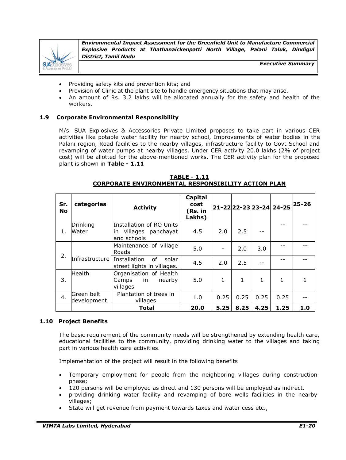

*Executive Summary*

- Providing safety kits and prevention kits; and
- Provision of Clinic at the plant site to handle emergency situations that may arise.
- An amount of Rs. 3.2 lakhs will be allocated annually for the safety and health of the workers.

#### **1.9 Corporate Environmental Responsibility**

M/s. SUA Explosives & Accessories Private Limited proposes to take part in various CER activities like potable water facility for nearby school, Improvements of water bodies in the Palani region, Road facilities to the nearby villages, infrastructure facility to Govt School and revamping of water pumps at nearby villages. Under CER activity 20.0 lakhs (2% of project cost) will be allotted for the above-mentioned works. The CER activity plan for the proposed plant is shown in **Table - 1.11**

| <b>TABLE - 1.11</b>                                       |  |  |  |  |  |  |  |  |
|-----------------------------------------------------------|--|--|--|--|--|--|--|--|
| <b>CORPORATE ENVIRONMENTAL RESPONSIBILITY ACTION PLAN</b> |  |  |  |  |  |  |  |  |

| Sr.<br><b>No</b> | categories                | <b>Activity</b>                                                      | Capital<br>cost<br>(Rs. in<br>Lakhs) |      |      |      | 21-22 22-23 23-24 24-25 | 25-26 |
|------------------|---------------------------|----------------------------------------------------------------------|--------------------------------------|------|------|------|-------------------------|-------|
| 1.               | Drinking<br><b>Water</b>  | Installation of RO Units<br>villages panchayat<br>in.<br>and schools | 4.5                                  | 2.0  | 2.5  | --   |                         |       |
| 2.               |                           | Maintenance of village<br>Roads                                      | 5.0                                  |      | 2.0  | 3.0  |                         |       |
|                  | Infrastructure            | Installation<br>οf<br>solar<br>street lights in villages.            | 4.5                                  | 2.0  | 2.5  | --   |                         |       |
| 3.               | Health                    | Organisation of Health<br>in<br>nearby<br>Camps<br>villages          | 5.0                                  | 1    | 1    | 1    | 1                       |       |
| 4.               | Green belt<br>development | Plantation of trees in<br>villages                                   | 1.0                                  | 0.25 | 0.25 | 0.25 | 0.25                    |       |
|                  |                           | <b>Total</b>                                                         | 20.0                                 | 5.25 | 8.25 | 4.25 | 1.25                    | 1.0   |

#### **1.10 Project Benefits**

The basic requirement of the community needs will be strengthened by extending health care, educational facilities to the community, providing drinking water to the villages and taking part in various health care activities.

Implementation of the project will result in the following benefits

- Temporary employment for people from the neighboring villages during construction phase;
- 120 persons will be employed as direct and 130 persons will be employed as indirect.
- providing drinking water facility and revamping of bore wells facilities in the nearby villages;
- State will get revenue from payment towards taxes and water cess etc.,